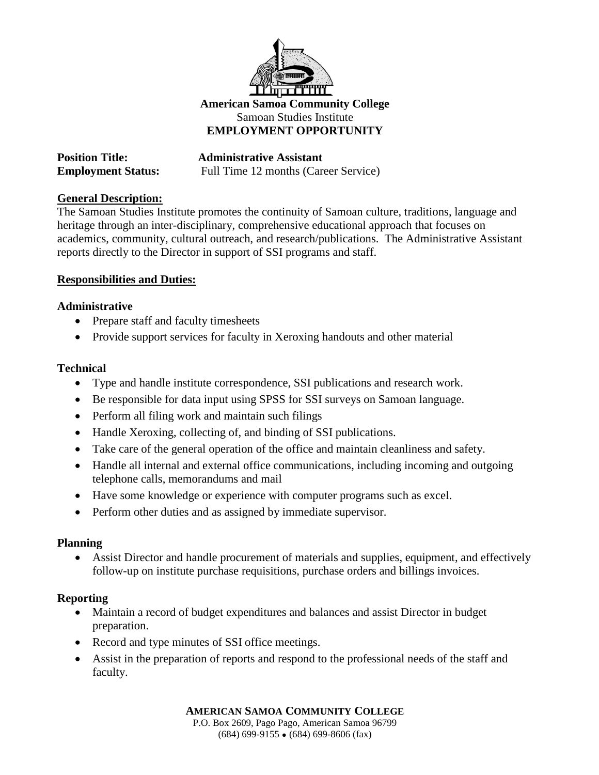

#### **American Samoa Community College** Samoan Studies Institute **EMPLOYMENT OPPORTUNITY**

**Position Title:** Administrative Assistant **Employment Status:** Full Time 12 months (Career Service)

## **General Description:**

The Samoan Studies Institute promotes the continuity of Samoan culture, traditions, language and heritage through an inter-disciplinary, comprehensive educational approach that focuses on academics, community, cultural outreach, and research/publications. The Administrative Assistant reports directly to the Director in support of SSI programs and staff.

## **Responsibilities and Duties:**

#### **Administrative**

- Prepare staff and faculty timesheets
- Provide support services for faculty in Xeroxing handouts and other material

#### **Technical**

- Type and handle institute correspondence, SSI publications and research work.
- Be responsible for data input using SPSS for SSI surveys on Samoan language.
- Perform all filing work and maintain such filings
- Handle Xeroxing, collecting of, and binding of SSI publications.
- Take care of the general operation of the office and maintain cleanliness and safety.
- Handle all internal and external office communications, including incoming and outgoing telephone calls, memorandums and mail
- Have some knowledge or experience with computer programs such as excel.
- Perform other duties and as assigned by immediate supervisor.

#### **Planning**

 Assist Director and handle procurement of materials and supplies, equipment, and effectively follow-up on institute purchase requisitions, purchase orders and billings invoices.

# **Reporting**

- Maintain a record of budget expenditures and balances and assist Director in budget preparation.
- Record and type minutes of SSI office meetings.
- Assist in the preparation of reports and respond to the professional needs of the staff and faculty.

**AMERICAN SAMOA COMMUNITY COLLEGE**

P.O. Box 2609, Pago Pago, American Samoa 96799  $(684)$  699-9155  $\bullet$  (684) 699-8606 (fax)